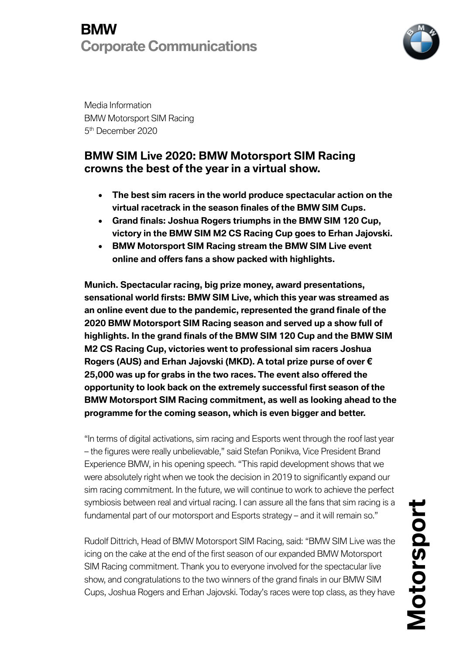### **BMW Corporate Communications**



Media Information BMW Motorsport SIM Racing 5th December 2020

### **BMW SIM Live 2020: BMW Motorsport SIM Racing crowns the best of the year in a virtual show.**

- **The best sim racers in the world produce spectacular action on the virtual racetrack in the season finales of the BMW SIM Cups.**
- **Grand finals: Joshua Rogers triumphs in the BMW SIM 120 Cup, victory in the BMW SIM M2 CS Racing Cup goes to Erhan Jajovski.**
- **BMW Motorsport SIM Racing stream the BMW SIM Live event online and offers fans a show packed with highlights.**

**Munich. Spectacular racing, big prize money, award presentations, sensational world firsts: BMW SIM Live, which this year was streamed as an online event due to the pandemic, represented the grand finale of the 2020 BMW Motorsport SIM Racing season and served up a show full of highlights. In the grand finals of the BMW SIM 120 Cup and the BMW SIM M2 CS Racing Cup, victories went to professional sim racers Joshua Rogers (AUS) and Erhan Jajovski (MKD). A total prize purse of over € 25,000 was up for grabs in the two races. The event also offered the opportunity to look back on the extremely successful first season of the BMW Motorsport SIM Racing commitment, as well as looking ahead to the programme for the coming season, which is even bigger and better.**

"In terms of digital activations, sim racing and Esports went through the roof last year – the figures were really unbelievable," said Stefan Ponikva, Vice President Brand Experience BMW, in his opening speech. "This rapid development shows that we were absolutely right when we took the decision in 2019 to significantly expand our sim racing commitment. In the future, we will continue to work to achieve the perfect symbiosis between real and virtual racing. I can assure all the fans that sim racing is a fundamental part of our motorsport and Esports strategy – and it will remain so."

Rudolf Dittrich, Head of BMW Motorsport SIM Racing, said: "BMW SIM Live was the icing on the cake at the end of the first season of our expanded BMW Motorsport SIM Racing commitment. Thank you to everyone involved for the spectacular live show, and congratulations to the two winners of the grand finals in our BMW SIM Cups, Joshua Rogers and Erhan Jajovski. Today's races were top class, as they have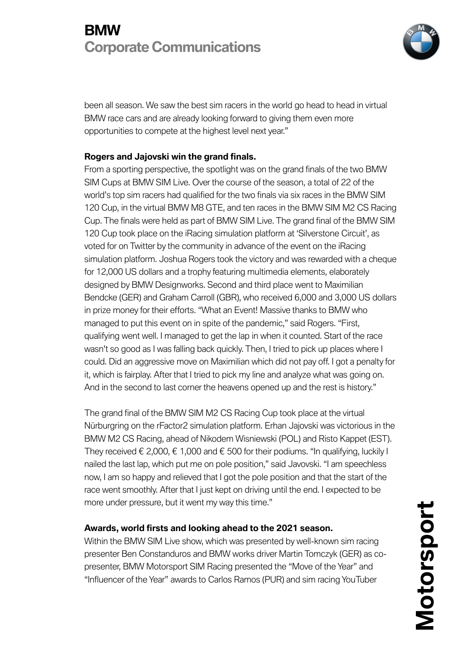## **BMW Corporate Communications**



been all season. We saw the best sim racers in the world go head to head in virtual BMW race cars and are already looking forward to giving them even more opportunities to compete at the highest level next year."

#### **Rogers and Jajovski win the grand finals.**

From a sporting perspective, the spotlight was on the grand finals of the two BMW SIM Cups at BMW SIM Live. Over the course of the season, a total of 22 of the world's top sim racers had qualified for the two finals via six races in the BMW SIM 120 Cup, in the virtual BMW M8 GTE, and ten races in the BMW SIM M2 CS Racing Cup. The finals were held as part of BMW SIM Live. The grand final of the BMW SIM 120 Cup took place on the iRacing simulation platform at 'Silverstone Circuit', as voted for on Twitter by the community in advance of the event on the iRacing simulation platform. Joshua Rogers took the victory and was rewarded with a cheque for 12,000 US dollars and a trophy featuring multimedia elements, elaborately designed by BMW Designworks. Second and third place went to Maximilian Bendcke (GER) and Graham Carroll (GBR), who received 6,000 and 3,000 US dollars in prize money for their efforts. "What an Event! Massive thanks to BMW who managed to put this event on in spite of the pandemic," said Rogers. "First, qualifying went well. I managed to get the lap in when it counted. Start of the race wasn't so good as I was falling back quickly. Then, I tried to pick up places where I could. Did an aggressive move on Maximilian which did not pay off. I got a penalty for it, which is fairplay. After that I tried to pick my line and analyze what was going on. And in the second to last corner the heavens opened up and the rest is history."

The grand final of the BMW SIM M2 CS Racing Cup took place at the virtual Nürburgring on the rFactor2 simulation platform. Erhan Jajovski was victorious in the BMW M2 CS Racing, ahead of Nikodem Wisniewski (POL) and Risto Kappet (EST). They received  $\epsilon$  2,000,  $\epsilon$  1,000 and  $\epsilon$  500 for their podiums. "In qualifying, luckily I nailed the last lap, which put me on pole position," said Javovski. "I am speechless now, I am so happy and relieved that I got the pole position and that the start of the race went smoothly. After that I just kept on driving until the end. I expected to be more under pressure, but it went my way this time."

#### **Awards, world firsts and looking ahead to the 2021 season.**

Within the BMW SIM Live show, which was presented by well-known sim racing presenter Ben Constanduros and BMW works driver Martin Tomczyk (GER) as copresenter, BMW Motorsport SIM Racing presented the "Move of the Year" and "Influencer of the Year" awards to Carlos Ramos (PUR) and sim racing YouTuber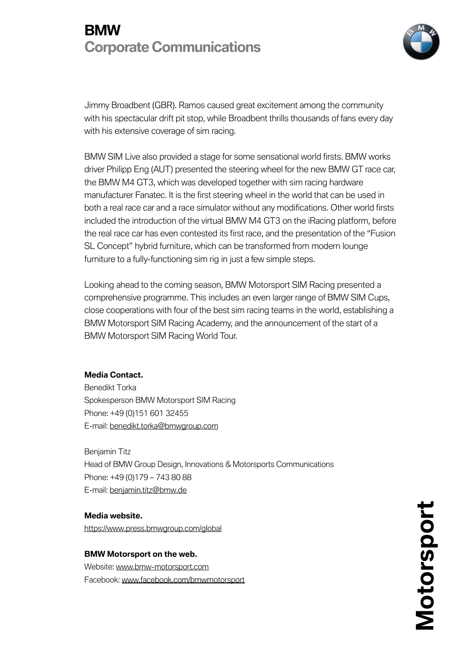## **BMW Corporate Communications**



Jimmy Broadbent (GBR). Ramos caused great excitement among the community with his spectacular drift pit stop, while Broadbent thrills thousands of fans every day with his extensive coverage of sim racing.

BMW SIM Live also provided a stage for some sensational world firsts. BMW works driver Philipp Eng (AUT) presented the steering wheel for the new BMW GT race car, the BMW M4 GT3, which was developed together with sim racing hardware manufacturer Fanatec. It is the first steering wheel in the world that can be used in both a real race car and a race simulator without any modifications. Other world firsts included the introduction of the virtual BMW M4 GT3 on the iRacing platform, before the real race car has even contested its first race, and the presentation of the "Fusion SL Concept" hybrid furniture, which can be transformed from modern lounge furniture to a fully-functioning sim rig in just a few simple steps.

Looking ahead to the coming season, BMW Motorsport SIM Racing presented a comprehensive programme. This includes an even larger range of BMW SIM Cups, close cooperations with four of the best sim racing teams in the world, establishing a BMW Motorsport SIM Racing Academy, and the announcement of the start of a BMW Motorsport SIM Racing World Tour.

#### **Media Contact.**

Benedikt Torka Spokesperson BMW Motorsport SIM Racing Phone: +49 (0)151 601 32455 E-mail: benedikt.torka@bmwgroup.com

Benjamin Titz Head of BMW Group Design, Innovations & Motorsports Communications Phone: +49 (0)179 – 743 80 88 E-mail: benjamin.titz@bmw.de

**Media website.** https://www.press.bmwgroup.com/global

**BMW Motorsport on the web.** Website: www.bmw-motorsport.com Facebook: www.facebook.com/bmwmotorsport **Motorsport** Motorsport